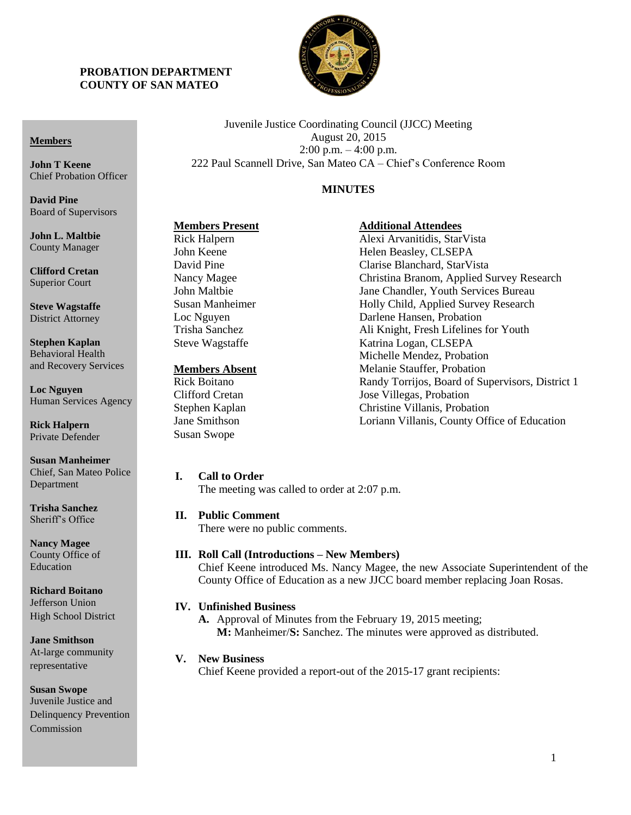

Juvenile Justice Coordinating Council (JJCC) Meeting August 20, 2015 2:00 p.m. – 4:00 p.m. 222 Paul Scannell Drive, San Mateo CA – Chief's Conference Room

# **MINUTES**

**Additional Attendees**

# **Members Present**

County Manager **Clifford Cretan** Superior Court

**Steve Wagstaffe** District Attorney

**Members**

**John T Keene**

**David Pine**

Chief Probation Officer

Board of Supervisors

**John L. Maltbie**

**Stephen Kaplan** Behavioral Health and Recovery Services

**Loc Nguyen** Human Services Agency

**Rick Halpern** Private Defender

**Susan Manheimer** Chief, San Mateo Police Department

**Trisha Sanchez** Sheriff's Office

**Nancy Magee** County Office of Education

**Richard Boitano** Jefferson Union High School District

**Jane Smithson** At-large community representative

**Susan Swope** Juvenile Justice and Delinquency Prevention Commission

Rick Halpern John Keene David Pine Nancy Magee John Maltbie Susan Manheimer Loc Nguyen Trisha Sanchez Steve Wagstaffe

### **Members Absent**

Rick Boitano Clifford Cretan Stephen Kaplan Jane Smithson Susan Swope

## **I. Call to Order**

The meeting was called to order at 2:07 p.m.

#### **II. Public Comment**

There were no public comments.

### **III. Roll Call (Introductions – New Members)**

Chief Keene introduced Ms. Nancy Magee, the new Associate Superintendent of the County Office of Education as a new JJCC board member replacing Joan Rosas.

## **IV. Unfinished Business**

**A.** Approval of Minutes from the February 19, 2015 meeting; **M:** Manheimer/**S:** Sanchez. The minutes were approved as distributed.

## **V. New Business**

Chief Keene provided a report-out of the 2015-17 grant recipients:

Alexi Arvanitidis, StarVista Helen Beasley, CLSEPA Clarise Blanchard, StarVista Christina Branom, Applied Survey Research Jane Chandler, Youth Services Bureau Holly Child, Applied Survey Research Darlene Hansen, Probation Ali Knight, Fresh Lifelines for Youth Katrina Logan, CLSEPA Michelle Mendez, Probation Melanie Stauffer, Probation Randy Torrijos, Board of Supervisors, District 1 Jose Villegas, Probation Christine Villanis, Probation Loriann Villanis, County Office of Education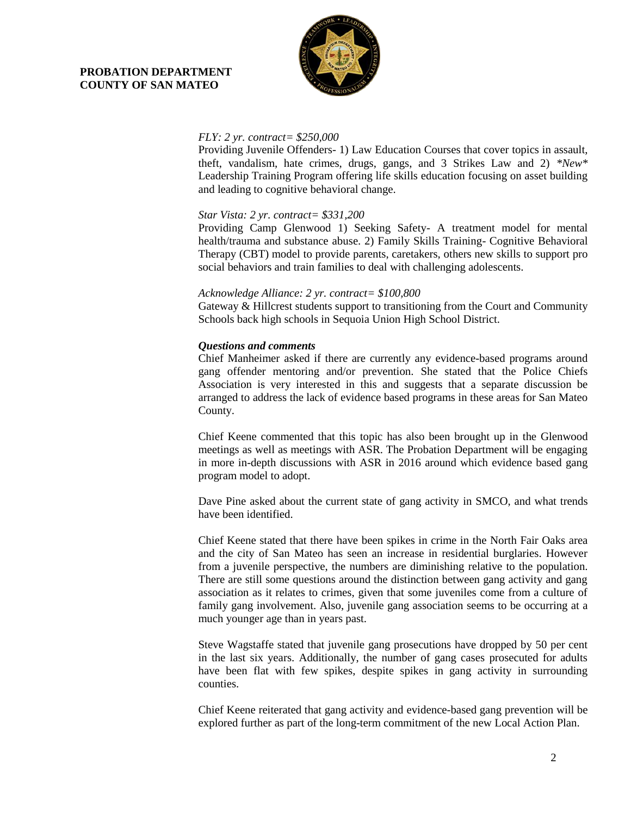

### *FLY: 2 yr. contract= \$250,000*

Providing Juvenile Offenders- 1) Law Education Courses that cover topics in assault, theft, vandalism, hate crimes, drugs, gangs, and 3 Strikes Law and 2) *\*New\** Leadership Training Program offering life skills education focusing on asset building and leading to cognitive behavioral change.

## *Star Vista: 2 yr. contract= \$331,200*

Providing Camp Glenwood 1) Seeking Safety- A treatment model for mental health/trauma and substance abuse. 2) Family Skills Training- Cognitive Behavioral Therapy (CBT) model to provide parents, caretakers, others new skills to support pro social behaviors and train families to deal with challenging adolescents.

#### *Acknowledge Alliance: 2 yr. contract= \$100,800*

Gateway & Hillcrest students support to transitioning from the Court and Community Schools back high schools in Sequoia Union High School District.

### *Questions and comments*

Chief Manheimer asked if there are currently any evidence-based programs around gang offender mentoring and/or prevention. She stated that the Police Chiefs Association is very interested in this and suggests that a separate discussion be arranged to address the lack of evidence based programs in these areas for San Mateo County.

Chief Keene commented that this topic has also been brought up in the Glenwood meetings as well as meetings with ASR. The Probation Department will be engaging in more in-depth discussions with ASR in 2016 around which evidence based gang program model to adopt.

Dave Pine asked about the current state of gang activity in SMCO, and what trends have been identified.

Chief Keene stated that there have been spikes in crime in the North Fair Oaks area and the city of San Mateo has seen an increase in residential burglaries. However from a juvenile perspective, the numbers are diminishing relative to the population. There are still some questions around the distinction between gang activity and gang association as it relates to crimes, given that some juveniles come from a culture of family gang involvement. Also, juvenile gang association seems to be occurring at a much younger age than in years past.

Steve Wagstaffe stated that juvenile gang prosecutions have dropped by 50 per cent in the last six years. Additionally, the number of gang cases prosecuted for adults have been flat with few spikes, despite spikes in gang activity in surrounding counties.

Chief Keene reiterated that gang activity and evidence-based gang prevention will be explored further as part of the long-term commitment of the new Local Action Plan.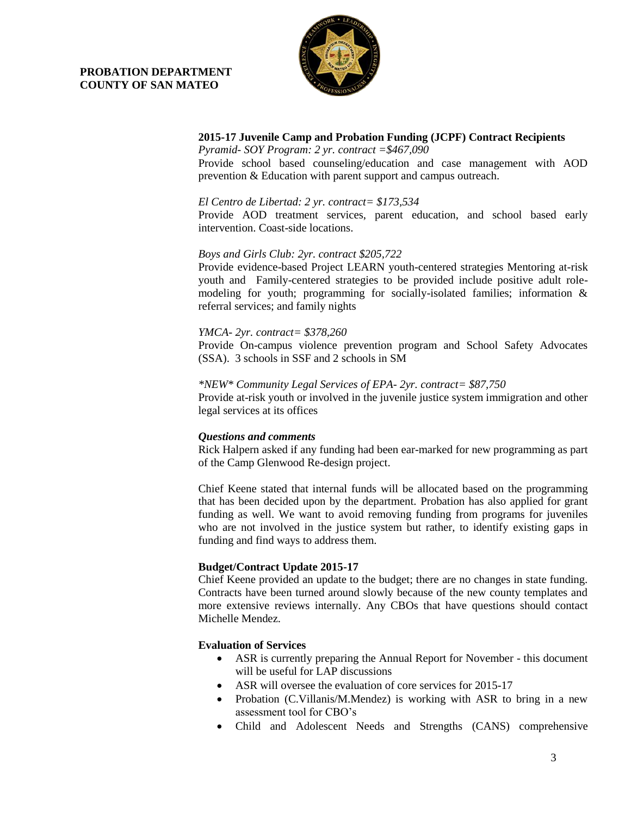

## **2015-17 Juvenile Camp and Probation Funding (JCPF) Contract Recipients**

*Pyramid- SOY Program: 2 yr. contract =\$467,090* Provide school based counseling/education and case management with AOD prevention & Education with parent support and campus outreach.

## *El Centro de Libertad: 2 yr. contract= \$173,534*

Provide AOD treatment services, parent education, and school based early intervention. Coast-side locations.

## *Boys and Girls Club: 2yr. contract \$205,722*

Provide evidence-based Project LEARN youth-centered strategies Mentoring at-risk youth and Family-centered strategies to be provided include positive adult rolemodeling for youth; programming for socially-isolated families; information  $\&$ referral services; and family nights

### *YMCA- 2yr. contract= \$378,260*

Provide On-campus violence prevention program and School Safety Advocates (SSA). 3 schools in SSF and 2 schools in SM

### *\*NEW\* Community Legal Services of EPA- 2yr. contract= \$87,750*

Provide at-risk youth or involved in the juvenile justice system immigration and other legal services at its offices

## *Questions and comments*

Rick Halpern asked if any funding had been ear-marked for new programming as part of the Camp Glenwood Re-design project.

Chief Keene stated that internal funds will be allocated based on the programming that has been decided upon by the department. Probation has also applied for grant funding as well. We want to avoid removing funding from programs for juveniles who are not involved in the justice system but rather, to identify existing gaps in funding and find ways to address them.

## **Budget/Contract Update 2015-17**

Chief Keene provided an update to the budget; there are no changes in state funding. Contracts have been turned around slowly because of the new county templates and more extensive reviews internally. Any CBOs that have questions should contact Michelle Mendez.

## **Evaluation of Services**

- ASR is currently preparing the Annual Report for November this document will be useful for LAP discussions
- ASR will oversee the evaluation of core services for 2015-17
- Probation (C.Villanis/M.Mendez) is working with ASR to bring in a new assessment tool for CBO's
- Child and Adolescent Needs and Strengths (CANS) comprehensive